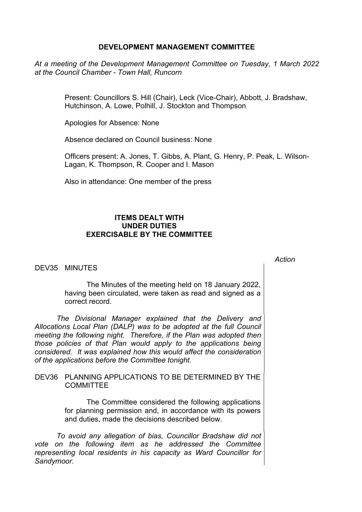## **DEVELOPMENT MANAGEMENT COMMITTEE**

*At a meeting of the Development Management Committee on Tuesday, 1 March 2022 at the Council Chamber - Town Hall, Runcorn*

> Present: Councillors S. Hill (Chair), Leck (Vice-Chair), Abbott, J. Bradshaw, Hutchinson, A. Lowe, Polhill, J. Stockton and Thompson

Apologies for Absence: None

Absence declared on Council business: None

Officers present: A. Jones, T. Gibbs, A. Plant, G. Henry, P. Peak, L. Wilson-Lagan, K. Thompson, R. Cooper and I. Mason

*Action*

Also in attendance: One member of the press

## **ITEMS DEALT WITH UNDER DUTIES EXERCISABLE BY THE COMMITTEE**

DEV35 MINUTES

The Minutes of the meeting held on 18 January 2022, having been circulated, were taken as read and signed as a correct record.

*The Divisional Manager explained that the Delivery and Allocations Local Plan (DALP) was to be adopted at the full Council meeting the following night. Therefore, if the Plan was adopted then those policies of that Plan would apply to the applications being considered. It was explained how this would affect the consideration of the applications before the Committee tonight.*

## DEV36 PLANNING APPLICATIONS TO BE DETERMINED BY THE **COMMITTEE**

The Committee considered the following applications for planning permission and, in accordance with its powers and duties, made the decisions described below.

*To avoid any allegation of bias, Councillor Bradshaw did not vote on the following item as he addressed the Committee representing local residents in his capacity as Ward Councillor for Sandymoor.*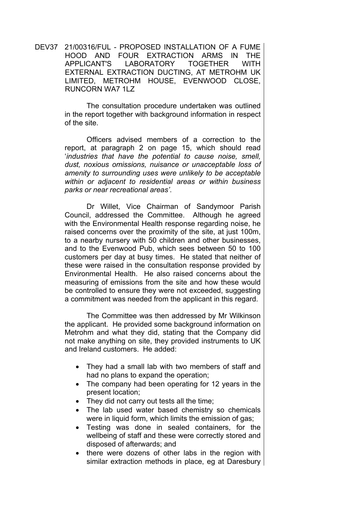DEV37 21/00316/FUL - PROPOSED INSTALLATION OF A FUME HOOD AND FOUR EXTRACTION ARMS IN THE APPLICANT'S LABORATORY TOGETHER WITH EXTERNAL EXTRACTION DUCTING, AT METROHM UK LIMITED, METROHM HOUSE, EVENWOOD CLOSE, RUNCORN WA7 1LZ

> The consultation procedure undertaken was outlined in the report together with background information in respect of the site.

> Officers advised members of a correction to the report, at paragraph 2 on page 15, which should read '*industries that have the potential to cause noise, smell, dust, noxious omissions, nuisance or unacceptable loss of amenity to surrounding uses were unlikely to be acceptable within or adjacent to residential areas or within business parks or near recreational areas'*.

> Dr Willet, Vice Chairman of Sandymoor Parish Council, addressed the Committee. Although he agreed with the Environmental Health response regarding noise, he raised concerns over the proximity of the site, at just 100m, to a nearby nursery with 50 children and other businesses, and to the Evenwood Pub, which sees between 50 to 100 customers per day at busy times. He stated that neither of these were raised in the consultation response provided by Environmental Health. He also raised concerns about the measuring of emissions from the site and how these would be controlled to ensure they were not exceeded, suggesting a commitment was needed from the applicant in this regard.

> The Committee was then addressed by Mr Wilkinson the applicant. He provided some background information on Metrohm and what they did, stating that the Company did not make anything on site, they provided instruments to UK and Ireland customers. He added:

- They had a small lab with two members of staff and had no plans to expand the operation;
- The company had been operating for 12 years in the present location;
- They did not carry out tests all the time;
- The lab used water based chemistry so chemicals were in liquid form, which limits the emission of gas;
- Testing was done in sealed containers, for the wellbeing of staff and these were correctly stored and disposed of afterwards; and
- there were dozens of other labs in the region with similar extraction methods in place, eg at Daresbury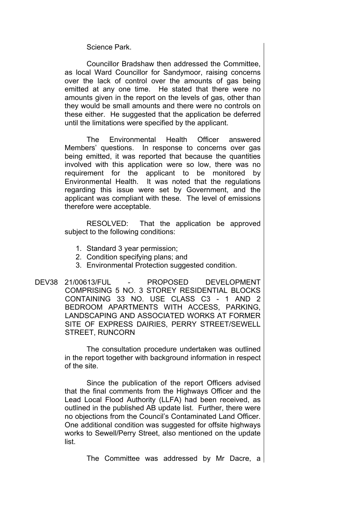Science Park.

Councillor Bradshaw then addressed the Committee, as local Ward Councillor for Sandymoor, raising concerns over the lack of control over the amounts of gas being emitted at any one time. He stated that there were no amounts given in the report on the levels of gas, other than they would be small amounts and there were no controls on these either. He suggested that the application be deferred until the limitations were specified by the applicant.

The Environmental Health Officer answered Members' questions. In response to concerns over gas being emitted, it was reported that because the quantities involved with this application were so low, there was no requirement for the applicant to be monitored by Environmental Health. It was noted that the regulations regarding this issue were set by Government, and the applicant was compliant with these. The level of emissions therefore were acceptable.

RESOLVED: That the application be approved subject to the following conditions:

- 1. Standard 3 year permission;
- 2. Condition specifying plans; and
- 3. Environmental Protection suggested condition.
- DEV38 21/00613/FUL PROPOSED DEVELOPMENT COMPRISING 5 NO. 3 STOREY RESIDENTIAL BLOCKS CONTAINING 33 NO. USE CLASS C3 - 1 AND 2 BEDROOM APARTMENTS WITH ACCESS, PARKING, LANDSCAPING AND ASSOCIATED WORKS AT FORMER SITE OF EXPRESS DAIRIES, PERRY STREET/SEWELL STREET, RUNCORN

The consultation procedure undertaken was outlined in the report together with background information in respect of the site.

Since the publication of the report Officers advised that the final comments from the Highways Officer and the Lead Local Flood Authority (LLFA) had been received, as outlined in the published AB update list. Further, there were no objections from the Council's Contaminated Land Officer. One additional condition was suggested for offsite highways works to Sewell/Perry Street, also mentioned on the update list.

The Committee was addressed by Mr Dacre, a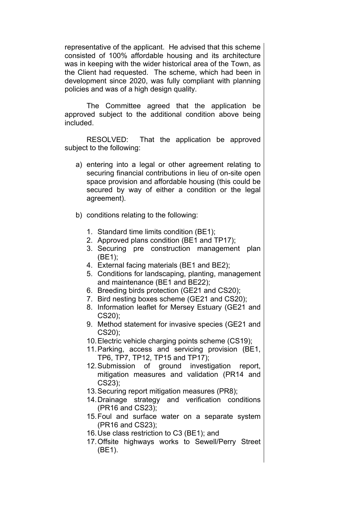representative of the applicant. He advised that this scheme consisted of 100% affordable housing and its architecture was in keeping with the wider historical area of the Town, as the Client had requested. The scheme, which had been in development since 2020, was fully compliant with planning policies and was of a high design quality.

The Committee agreed that the application be approved subject to the additional condition above being included.

RESOLVED: That the application be approved subject to the following:

- a) entering into a legal or other agreement relating to securing financial contributions in lieu of on-site open space provision and affordable housing (this could be secured by way of either a condition or the legal agreement).
- b) conditions relating to the following:
	- 1. Standard time limits condition (BE1);
	- 2. Approved plans condition (BE1 and TP17);
	- 3. Securing pre construction management plan (BE1);
	- 4. External facing materials (BE1 and BE2);
	- 5. Conditions for landscaping, planting, management and maintenance (BE1 and BE22);
	- 6. Breeding birds protection (GE21 and CS20);
	- 7. Bird nesting boxes scheme (GE21 and CS20);
	- 8. Information leaflet for Mersey Estuary (GE21 and CS20);
	- 9. Method statement for invasive species (GE21 and CS20);
	- 10.Electric vehicle charging points scheme (CS19);
	- 11.Parking, access and servicing provision (BE1, TP6, TP7, TP12, TP15 and TP17);
	- 12.Submission of ground investigation report, mitigation measures and validation (PR14 and CS23);
	- 13.Securing report mitigation measures (PR8);
	- 14.Drainage strategy and verification conditions (PR16 and CS23);
	- 15.Foul and surface water on a separate system (PR16 and CS23);
	- 16.Use class restriction to C3 (BE1); and
	- 17.Offsite highways works to Sewell/Perry Street (BE1).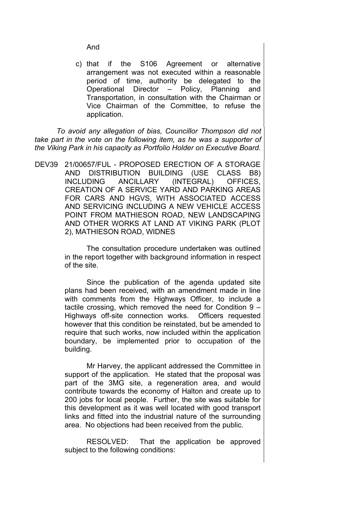And

c) that if the S106 Agreement or alternative arrangement was not executed within a reasonable period of time, authority be delegated to the Operational Director – Policy, Planning and Transportation, in consultation with the Chairman or Vice Chairman of the Committee, to refuse the application.

*To avoid any allegation of bias, Councillor Thompson did not take part in the vote on the following item, as he was a supporter of the Viking Park in his capacity as Portfolio Holder on Executive Board.*

DEV39 21/00657/FUL - PROPOSED ERECTION OF A STORAGE AND DISTRIBUTION BUILDING (USE CLASS B8) INCLUDING ANCILLARY (INTEGRAL) OFFICES, CREATION OF A SERVICE YARD AND PARKING AREAS FOR CARS AND HGVS, WITH ASSOCIATED ACCESS AND SERVICING INCLUDING A NEW VEHICLE ACCESS POINT FROM MATHIESON ROAD, NEW LANDSCAPING AND OTHER WORKS AT LAND AT VIKING PARK (PLOT 2), MATHIESON ROAD, WIDNES

> The consultation procedure undertaken was outlined in the report together with background information in respect of the site.

> Since the publication of the agenda updated site plans had been received, with an amendment made in line with comments from the Highways Officer, to include a tactile crossing, which removed the need for Condition 9 – Highways off-site connection works. Officers requested however that this condition be reinstated, but be amended to require that such works, now included within the application boundary, be implemented prior to occupation of the building.

> Mr Harvey, the applicant addressed the Committee in support of the application. He stated that the proposal was part of the 3MG site, a regeneration area, and would contribute towards the economy of Halton and create up to 200 jobs for local people. Further, the site was suitable for this development as it was well located with good transport links and fitted into the industrial nature of the surrounding area. No objections had been received from the public.

> RESOLVED: That the application be approved subject to the following conditions: